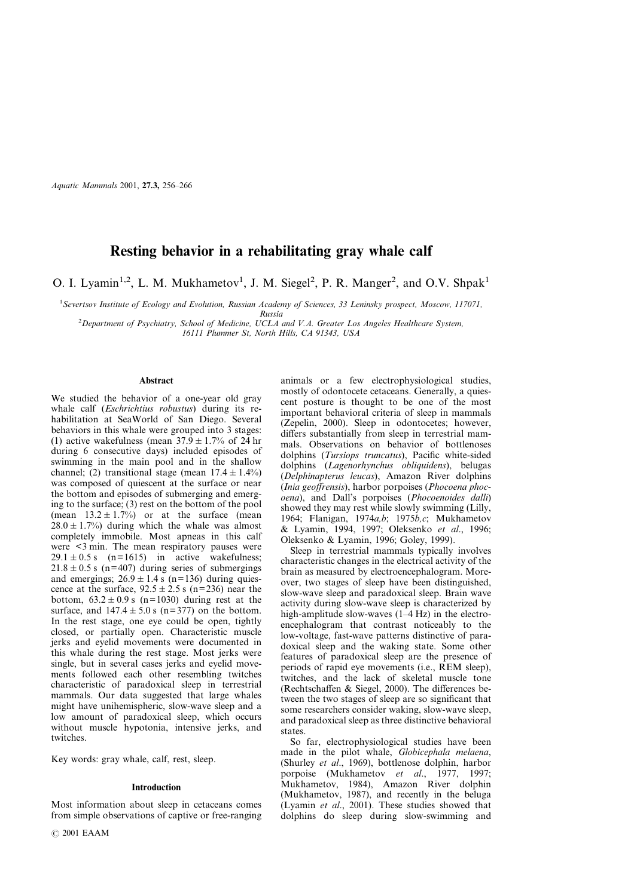*Aquatic Mammals* 2001, **27.3,** 256–266

# **Resting behavior in a rehabilitating gray whale calf**

O. I. Lyamin<sup>1,2</sup>, L. M. Mukhametov<sup>1</sup>, J. M. Siegel<sup>2</sup>, P. R. Manger<sup>2</sup>, and O.V. Shpak<sup>1</sup>

<sup>1</sup>*Severtsov Institute of Ecology and Evolution, Russian Academy of Sciences, 33 Leninsky prospect, Moscow, 117071, Russia*

<sup>2</sup>*Department of Psychiatry, School of Medicine, UCLA and V.A. Greater Los Angeles Healthcare System, 16111 Plummer St, North Hills, CA 91343, USA*

# **Abstract**

We studied the behavior of a one-year old gray whale calf (*Eschrichtius robustus*) during its rehabilitation at SeaWorld of San Diego. Several behaviors in this whale were grouped into 3 stages: (1) active wakefulness (mean  $37.9 \pm 1.7\%$  of 24 hr during 6 consecutive days) included episodes of swimming in the main pool and in the shallow channel; (2) transitional stage (mean  $17.4 \pm 1.4\%$ ) was composed of quiescent at the surface or near the bottom and episodes of submerging and emerging to the surface; (3) rest on the bottom of the pool (mean  $13.2 \pm 1.7\%$ ) or at the surface (mean  $28.0 \pm 1.7\%$  during which the whale was almost completely immobile. Most apneas in this calf were <3 min. The mean respiratory pauses were  $29.1 \pm 0.5$  s (n=1615) in active wakefulness;  $21.8 \pm 0.5$  s (n=407) during series of submergings and emergings;  $26.9 \pm 1.4$  s (n=136) during quiescence at the surface,  $92.5 \pm 2.5$  s (n=236) near the bottom,  $63.2 \pm 0.9$  s (n=1030) during rest at the surface, and  $147.4 \pm 5.0$  s (n=377) on the bottom. In the rest stage, one eye could be open, tightly closed, or partially open. Characteristic muscle jerks and eyelid movements were documented in this whale during the rest stage. Most jerks were single, but in several cases jerks and eyelid movements followed each other resembling twitches characteristic of paradoxical sleep in terrestrial mammals. Our data suggested that large whales might have unihemispheric, slow-wave sleep and a low amount of paradoxical sleep, which occurs without muscle hypotonia, intensive jerks, and twitches.

Key words: gray whale, calf, rest, sleep.

### **Introduction**

Most information about sleep in cetaceans comes from simple observations of captive or free-ranging animals or a few electrophysiological studies, mostly of odontocete cetaceans. Generally, a quiescent posture is thought to be one of the most important behavioral criteria of sleep in mammals (Zepelin, 2000). Sleep in odontocetes; however, differs substantially from sleep in terrestrial mammals. Observations on behavior of bottlenoses dolphins (*Tursiops truncatus*), Pacific white-sided dolphins (*Lagenorhynchus obliquidens*), belugas (*Delphinapterus leucas*), Amazon River dolphins (*Inia geoffrensis*), harbor porpoises (*Phocoena phocoena*), and Dall's porpoises (*Phocoenoides dalli*) showed they may rest while slowly swimming (Lilly, 1964; Flanigan, 1974*a,b*; 1975*b,c*; Mukhametov & Lyamin, 1994, 1997; Oleksenko *et al*., 1996; Oleksenko & Lyamin, 1996; Goley, 1999).

Sleep in terrestrial mammals typically involves characteristic changes in the electrical activity of the brain as measured by electroencephalogram. Moreover, two stages of sleep have been distinguished, slow-wave sleep and paradoxical sleep. Brain wave activity during slow-wave sleep is characterized by high-amplitude slow-waves  $(1-4 \text{ Hz})$  in the electroencephalogram that contrast noticeably to the low-voltage, fast-wave patterns distinctive of paradoxical sleep and the waking state. Some other features of paradoxical sleep are the presence of periods of rapid eye movements (i.e., REM sleep), twitches, and the lack of skeletal muscle tone (Rechtschaffen & Siegel, 2000). The differences between the two stages of sleep are so significant that some researchers consider waking, slow-wave sleep, and paradoxical sleep as three distinctive behavioral states.

So far, electrophysiological studies have been made in the pilot whale, *Globicephala melaena*, (Shurley *et al*., 1969), bottlenose dolphin, harbor porpoise (Mukhametov *et al*., 1977, 1997; Mukhametov, 1984), Amazon River dolphin (Mukhametov, 1987), and recently in the beluga (Lyamin *et al*., 2001). These studies showed that dolphins do sleep during slow-swimming and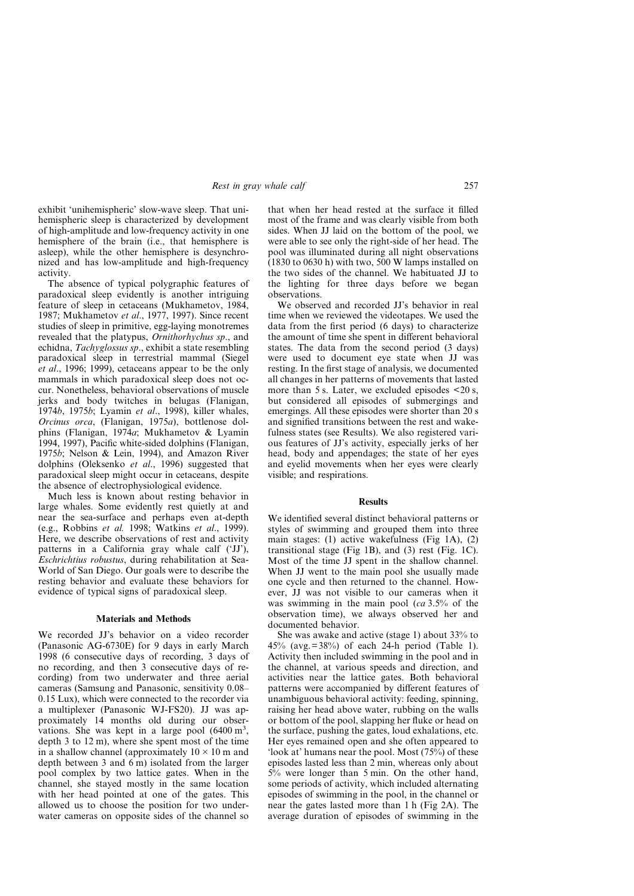exhibit 'unihemispheric' slow-wave sleep. That unihemispheric sleep is characterized by development of high-amplitude and low-frequency activity in one hemisphere of the brain (i.e., that hemisphere is asleep), while the other hemisphere is desynchronized and has low-amplitude and high-frequency activity.

The absence of typical polygraphic features of paradoxical sleep evidently is another intriguing feature of sleep in cetaceans (Mukhametov, 1984, 1987; Mukhametov *et al*., 1977, 1997). Since recent studies of sleep in primitive, egg-laying monotremes revealed that the platypus, *Ornithorhychus sp*., and echidna, *Tachyglossus sp*., exhibit a state resembling paradoxical sleep in terrestrial mammal (Siegel *et al*., 1996; 1999), cetaceans appear to be the only mammals in which paradoxical sleep does not occur. Nonetheless, behavioral observations of muscle jerks and body twitches in belugas (Flanigan, 1974*b*, 1975*b*; Lyamin *et al*., 1998), killer whales, *Orcinus orca*, (Flanigan, 1975*a*), bottlenose dolphins (Flanigan, 1974*a*; Mukhametov & Lyamin 1994, 1997), Pacific white-sided dolphins (Flanigan, 1975*b*; Nelson & Lein, 1994), and Amazon River dolphins (Oleksenko *et al*., 1996) suggested that paradoxical sleep might occur in cetaceans, despite the absence of electrophysiological evidence.

Much less is known about resting behavior in large whales. Some evidently rest quietly at and near the sea-surface and perhaps even at-depth (e.g., Robbins *et al.* 1998; Watkins *et al*., 1999). Here, we describe observations of rest and activity patterns in a California gray whale calf ('JJ'), *Eschrichtius robustus*, during rehabilitation at Sea-World of San Diego. Our goals were to describe the resting behavior and evaluate these behaviors for evidence of typical signs of paradoxical sleep.

## **Materials and Methods**

We recorded JJ's behavior on a video recorder (Panasonic AG-6730E) for 9 days in early March 1998 (6 consecutive days of recording, 3 days of no recording, and then 3 consecutive days of recording) from two underwater and three aerial cameras (Samsung and Panasonic, sensitivity 0.08– 0.15 Lux), which were connected to the recorder via a multiplexer (Panasonic WJ-FS20). JJ was approximately 14 months old during our observations. She was kept in a large pool (6400 m<sup>3</sup>, depth 3 to 12 m), where she spent most of the time in a shallow channel (approximately  $10 \times 10$  m and depth between 3 and 6 m) isolated from the larger pool complex by two lattice gates. When in the channel, she stayed mostly in the same location with her head pointed at one of the gates. This allowed us to choose the position for two underwater cameras on opposite sides of the channel so

that when her head rested at the surface it filled most of the frame and was clearly visible from both sides. When JJ laid on the bottom of the pool, we were able to see only the right-side of her head. The pool was illuminated during all night observations  $(1830 \text{ to } 0630 \text{ h})$  with two,  $500 \text{ W}$  lamps installed on the two sides of the channel. We habituated JJ to the lighting for three days before we began observations.

We observed and recorded JJ's behavior in real time when we reviewed the videotapes. We used the data from the first period (6 days) to characterize the amount of time she spent in different behavioral states. The data from the second period (3 days) were used to document eye state when JJ was resting. In the first stage of analysis, we documented all changes in her patterns of movements that lasted more than  $5 \text{ s}$ . Later, we excluded episodes  $\leq 20 \text{ s}$ , but considered all episodes of submergings and emergings. All these episodes were shorter than 20 s and signified transitions between the rest and wakefulness states (see Results). We also registered various features of JJ's activity, especially jerks of her head, body and appendages; the state of her eyes and eyelid movements when her eyes were clearly visible; and respirations.

#### **Results**

We identified several distinct behavioral patterns or styles of swimming and grouped them into three main stages: (1) active wakefulness (Fig 1A), (2) transitional stage (Fig 1B), and (3) rest (Fig. 1C). Most of the time JJ spent in the shallow channel. When JJ went to the main pool she usually made one cycle and then returned to the channel. However, JJ was not visible to our cameras when it was swimming in the main pool (*ca* 3.5% of the observation time), we always observed her and documented behavior.

She was awake and active (stage 1) about 33% to 45% (avg.=38%) of each 24-h period (Table 1). Activity then included swimming in the pool and in the channel, at various speeds and direction, and activities near the lattice gates. Both behavioral patterns were accompanied by different features of unambiguous behavioral activity: feeding, spinning, raising her head above water, rubbing on the walls or bottom of the pool, slapping her fluke or head on the surface, pushing the gates, loud exhalations, etc. Her eyes remained open and she often appeared to 'look at' humans near the pool. Most  $(75\%)$  of these episodes lasted less than 2 min, whereas only about 5% were longer than 5 min. On the other hand, some periods of activity, which included alternating episodes of swimming in the pool, in the channel or near the gates lasted more than 1 h (Fig 2A). The average duration of episodes of swimming in the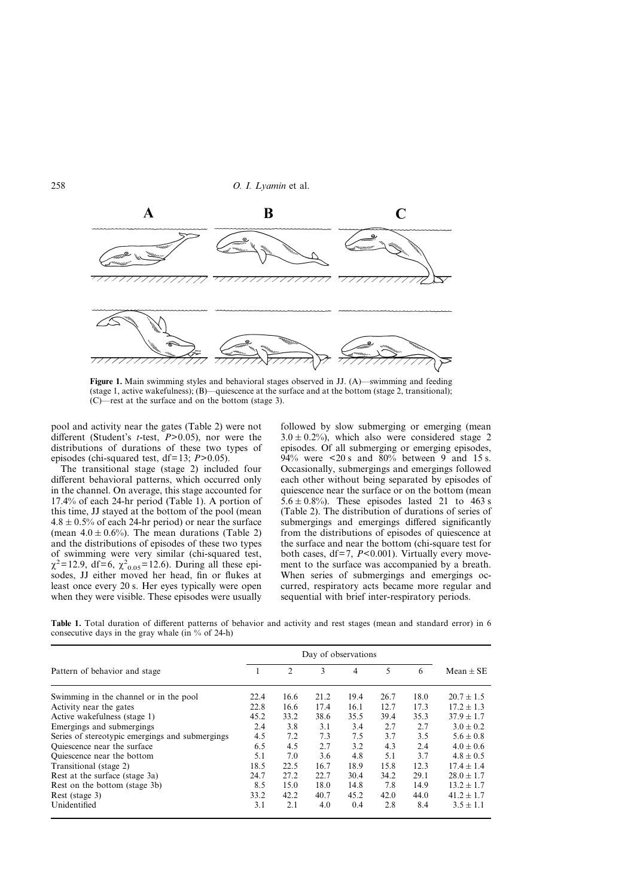

**Figure 1.** Main swimming styles and behavioral stages observed in JJ. (A)—swimming and feeding (stage 1, active wakefulness); (B)—quiescence at the surface and at the bottom (stage 2, transitional); (C)—rest at the surface and on the bottom (stage 3).

pool and activity near the gates (Table 2) were not different (Student's *t*-test, *P*>0.05), nor were the distributions of durations of these two types of episodes (chi-squared test, df=13; *P*>0.05).

The transitional stage (stage 2) included four different behavioral patterns, which occurred only in the channel. On average, this stage accounted for 17.4% of each 24-hr period (Table 1). A portion of this time, JJ stayed at the bottom of the pool (mean  $4.8 \pm 0.5\%$  of each 24-hr period) or near the surface (mean  $4.0 \pm 0.6%$ ). The mean durations (Table 2) and the distributions of episodes of these two types of swimming were very similar (chi-squared test,  $\chi^2$ =12.9, df=6,  $\chi^2$ <sub>0.05</sub>=12.6). During all these episodes, JJ either moved her head, fin or flukes at least once every 20 s. Her eyes typically were open when they were visible. These episodes were usually

followed by slow submerging or emerging (mean  $3.0 \pm 0.2$ %), which also were considered stage 2 episodes. Of all submerging or emerging episodes, 94% were  $\leq 20$  s and 80% between 9 and 15 s. Occasionally, submergings and emergings followed each other without being separated by episodes of quiescence near the surface or on the bottom (mean  $5.6 \pm 0.8\%$ ). These episodes lasted 21 to 463 s (Table 2). The distribution of durations of series of submergings and emergings differed significantly from the distributions of episodes of quiescence at the surface and near the bottom (chi-square test for both cases, df=7, *P*<0.001). Virtually every movement to the surface was accompanied by a breath. When series of submergings and emergings occurred, respiratory acts became more regular and sequential with brief inter-respiratory periods.

**Table 1.** Total duration of different patterns of behavior and activity and rest stages (mean and standard error) in 6 consecutive days in the gray whale (in  $%$  of 24-h)

|                                                 | Day of observations |                |      |      |      |      |                |
|-------------------------------------------------|---------------------|----------------|------|------|------|------|----------------|
| Pattern of behavior and stage                   |                     | $\overline{c}$ | 3    | 4    | 5    | 6    | Mean $\pm$ SE  |
| Swimming in the channel or in the pool          | 22.4                | 16.6           | 21.2 | 19.4 | 26.7 | 18.0 | $20.7 \pm 1.5$ |
| Activity near the gates                         | 22.8                | 16.6           | 17.4 | 16.1 | 12.7 | 17.3 | $17.2 \pm 1.3$ |
| Active wakefulness (stage 1)                    | 45.2                | 33.2           | 38.6 | 35.5 | 39.4 | 35.3 | $37.9 \pm 1.7$ |
| Emergings and submergings                       | 2.4                 | 3.8            | 3.1  | 3.4  | 2.7  | 2.7  | $3.0 \pm 0.2$  |
| Series of stereotypic emergings and submergings | 4.5                 | 7.2            | 7.3  | 7.5  | 3.7  | 3.5  | $5.6 \pm 0.8$  |
| Quiescence near the surface                     | 6.5                 | 4.5            | 2.7  | 3.2  | 4.3  | 2.4  | $4.0 \pm 0.6$  |
| Quiescence near the bottom                      | 5.1                 | 7.0            | 3.6  | 4.8  | 5.1  | 3.7  | $4.8 \pm 0.5$  |
| Transitional (stage 2)                          | 18.5                | 22.5           | 16.7 | 18.9 | 15.8 | 12.3 | $17.4 \pm 1.4$ |
| Rest at the surface (stage 3a)                  | 24.7                | 27.2           | 22.7 | 30.4 | 34.2 | 29.1 | $28.0 \pm 1.7$ |
| Rest on the bottom (stage 3b)                   | 8.5                 | 15.0           | 18.0 | 14.8 | 7.8  | 14.9 | $13.2 \pm 1.7$ |
| Rest (stage 3)                                  | 33.2                | 42.2           | 40.7 | 45.2 | 42.0 | 44.0 | $41.2 \pm 1.7$ |
| Unidentified                                    |                     | 2.1            | 4.0  | 0.4  | 2.8  | 8.4  | $3.5 \pm 1.1$  |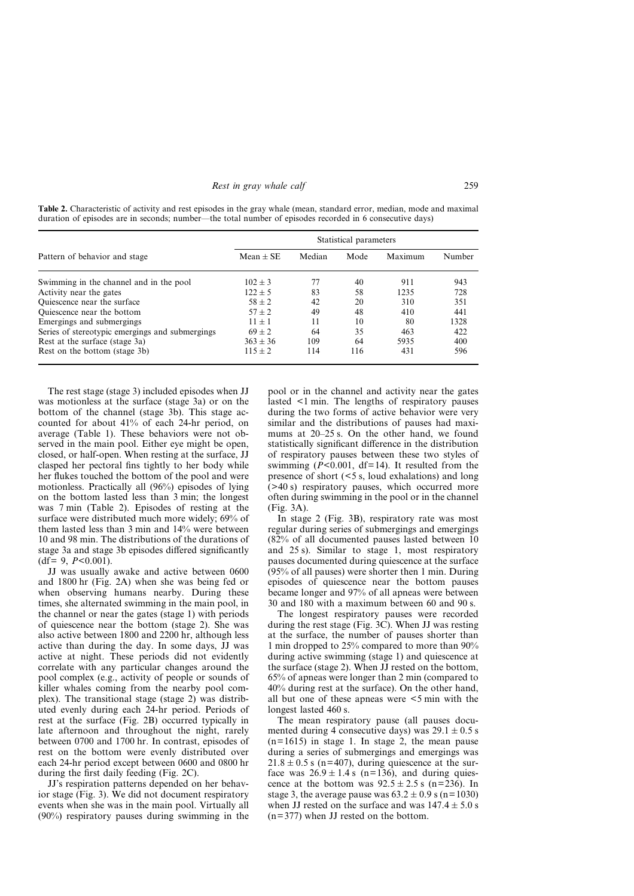|  | Rest in gray whale calf | 259 |
|--|-------------------------|-----|
|  |                         |     |

**Table 2.** Characteristic of activity and rest episodes in the gray whale (mean, standard error, median, mode and maximal duration of episodes are in seconds; number—the total number of episodes recorded in 6 consecutive days)

|                                                 | Statistical parameters |        |      |         |        |  |  |
|-------------------------------------------------|------------------------|--------|------|---------|--------|--|--|
| Pattern of behavior and stage                   | Mean $\pm$ SE          | Median | Mode | Maximum | Number |  |  |
| Swimming in the channel and in the pool         | $102 \pm 3$            | 77     | 40   | 911     | 943    |  |  |
| Activity near the gates                         | $122 \pm 5$            | 83     | 58   | 1235    | 728    |  |  |
| Quiescence near the surface                     | $58 \pm 2$             | 42     | 20   | 310     | 351    |  |  |
| Quiescence near the bottom                      | $57 \pm 2$             | 49     | 48   | 410     | 441    |  |  |
| Emergings and submergings                       | $11 + 1$               | 11     | 10   | 80      | 1328   |  |  |
| Series of stereotypic emergings and submergings | $69 \pm 2$             | 64     | 35   | 463     | 422    |  |  |
| Rest at the surface (stage 3a)                  | $363 \pm 36$           | 109    | 64   | 5935    | 400    |  |  |
| Rest on the bottom (stage 3b)                   | $115 \pm 2$            | 114    | 116  | 431     | 596    |  |  |

The rest stage (stage 3) included episodes when JJ was motionless at the surface (stage 3a) or on the bottom of the channel (stage 3b). This stage accounted for about 41% of each 24-hr period, on average (Table 1). These behaviors were not observed in the main pool. Either eye might be open, closed, or half-open. When resting at the surface, JJ clasped her pectoral fins tightly to her body while her flukes touched the bottom of the pool and were motionless. Practically all (96%) episodes of lying on the bottom lasted less than 3 min; the longest was 7 min (Table 2). Episodes of resting at the surface were distributed much more widely; 69% of them lasted less than 3 min and 14% were between 10 and 98 min. The distributions of the durations of stage 3a and stage 3b episodes differed significantly (df*=* 9, *P*<0.001).

JJ was usually awake and active between 0600 and 1800 hr (Fig. 2A) when she was being fed or when observing humans nearby. During these times, she alternated swimming in the main pool, in the channel or near the gates (stage 1) with periods of quiescence near the bottom (stage 2). She was also active between 1800 and 2200 hr, although less active than during the day. In some days, JJ was active at night. These periods did not evidently correlate with any particular changes around the pool complex (e.g., activity of people or sounds of killer whales coming from the nearby pool complex). The transitional stage (stage 2) was distributed evenly during each 24-hr period. Periods of rest at the surface (Fig. 2B) occurred typically in late afternoon and throughout the night, rarely between 0700 and 1700 hr. In contrast, episodes of rest on the bottom were evenly distributed over each 24-hr period except between 0600 and 0800 hr during the first daily feeding (Fig. 2C).

JJ's respiration patterns depended on her behavior stage (Fig. 3). We did not document respiratory events when she was in the main pool. Virtually all (90%) respiratory pauses during swimming in the pool or in the channel and activity near the gates lasted <1 min. The lengths of respiratory pauses during the two forms of active behavior were very similar and the distributions of pauses had maximums at 20–25 s. On the other hand, we found statistically significant difference in the distribution of respiratory pauses between these two styles of swimming  $(P<0.001, df=14)$ . It resulted from the presence of short (<5 s, loud exhalations) and long (>40 s) respiratory pauses, which occurred more often during swimming in the pool or in the channel (Fig. 3A).

In stage 2 (Fig. 3B), respiratory rate was most regular during series of submergings and emergings (82% of all documented pauses lasted between 10 and 25 s). Similar to stage 1, most respiratory pauses documented during quiescence at the surface (95% of all pauses) were shorter then 1 min. During episodes of quiescence near the bottom pauses became longer and 97% of all apneas were between 30 and 180 with a maximum between 60 and 90 s.

The longest respiratory pauses were recorded during the rest stage (Fig. 3C). When JJ was resting at the surface, the number of pauses shorter than 1 min dropped to 25% compared to more than 90% during active swimming (stage 1) and quiescence at the surface (stage 2). When JJ rested on the bottom, 65% of apneas were longer than 2 min (compared to 40% during rest at the surface). On the other hand, all but one of these apneas were <5 min with the longest lasted 460 s.

The mean respiratory pause (all pauses documented during 4 consecutive days) was  $29.1 \pm 0.5$  s  $(n=1615)$  in stage 1. In stage 2, the mean pause during a series of submergings and emergings was  $21.8 \pm 0.5$  s (n=407), during quiescence at the surface was  $26.9 \pm 1.4$  s (n=136), and during quiescence at the bottom was  $92.5 \pm 2.5$  s (n=236). In stage 3, the average pause was  $63.2 \pm 0.9$  s (n=1030) when JJ rested on the surface and was  $147.4 \pm 5.0$  s  $(n=377)$  when JJ rested on the bottom.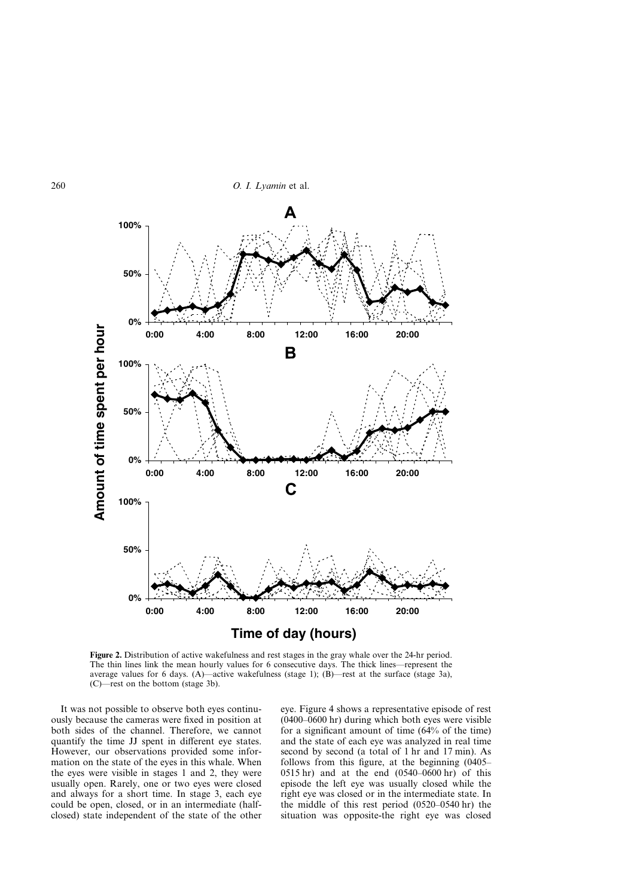

**Figure 2.** Distribution of active wakefulness and rest stages in the gray whale over the 24-hr period. The thin lines link the mean hourly values for 6 consecutive days. The thick lines—represent the average values for 6 days. (A)—active wakefulness (stage 1);  $(B)$ —rest at the surface (stage 3a), (C)—rest on the bottom (stage 3b).

It was not possible to observe both eyes continuously because the cameras were fixed in position at both sides of the channel. Therefore, we cannot quantify the time JJ spent in different eye states. However, our observations provided some information on the state of the eyes in this whale. When the eyes were visible in stages 1 and 2, they were usually open. Rarely, one or two eyes were closed and always for a short time. In stage 3, each eye could be open, closed, or in an intermediate (halfclosed) state independent of the state of the other eye. Figure 4 shows a representative episode of rest  $(0400-0600)$  hr) during which both eyes were visible for a significant amount of time (64% of the time) and the state of each eye was analyzed in real time second by second (a total of 1 hr and 17 min). As follows from this figure, at the beginning (0405– 0515 hr) and at the end (0540–0600 hr) of this episode the left eye was usually closed while the right eye was closed or in the intermediate state. In the middle of this rest period (0520–0540 hr) the situation was opposite-the right eye was closed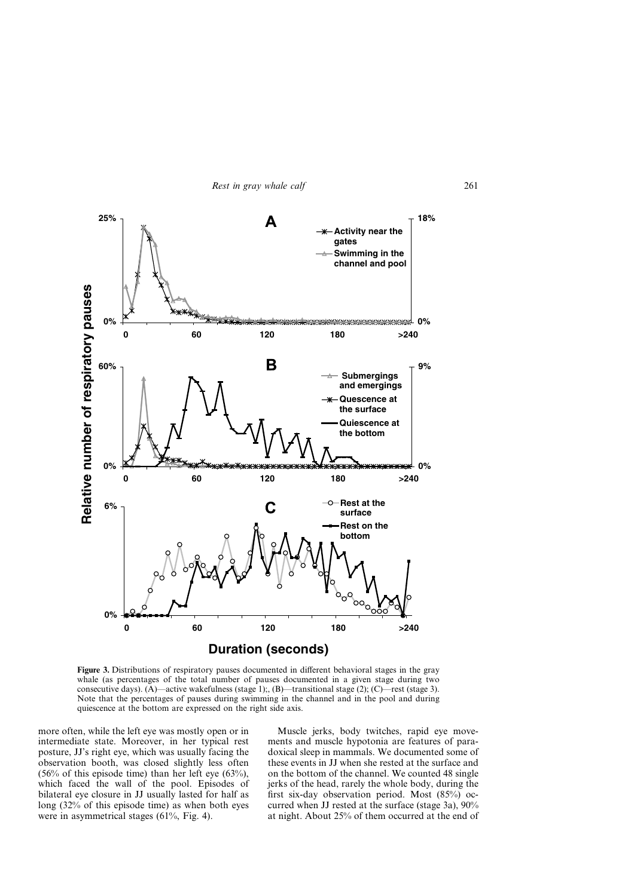

**Figure 3.** Distributions of respiratory pauses documented in different behavioral stages in the gray whale (as percentages of the total number of pauses documented in a given stage during two consecutive days). (A)—active wakefulness (stage 1);, (B)—transitional stage (2); (C)—rest (stage 3). Note that the percentages of pauses during swimming in the channel and in the pool and during quiescence at the bottom are expressed on the right side axis.

more often, while the left eye was mostly open or in intermediate state. Moreover, in her typical rest posture, JJ's right eye, which was usually facing the observation booth, was closed slightly less often (56% of this episode time) than her left eye (63%), which faced the wall of the pool. Episodes of bilateral eye closure in JJ usually lasted for half as long (32% of this episode time) as when both eyes were in asymmetrical stages (61%, Fig. 4).

Muscle jerks, body twitches, rapid eye movements and muscle hypotonia are features of paradoxical sleep in mammals. We documented some of these events in JJ when she rested at the surface and on the bottom of the channel. We counted 48 single jerks of the head, rarely the whole body, during the first six-day observation period. Most (85%) occurred when JJ rested at the surface (stage 3a), 90% at night. About 25% of them occurred at the end of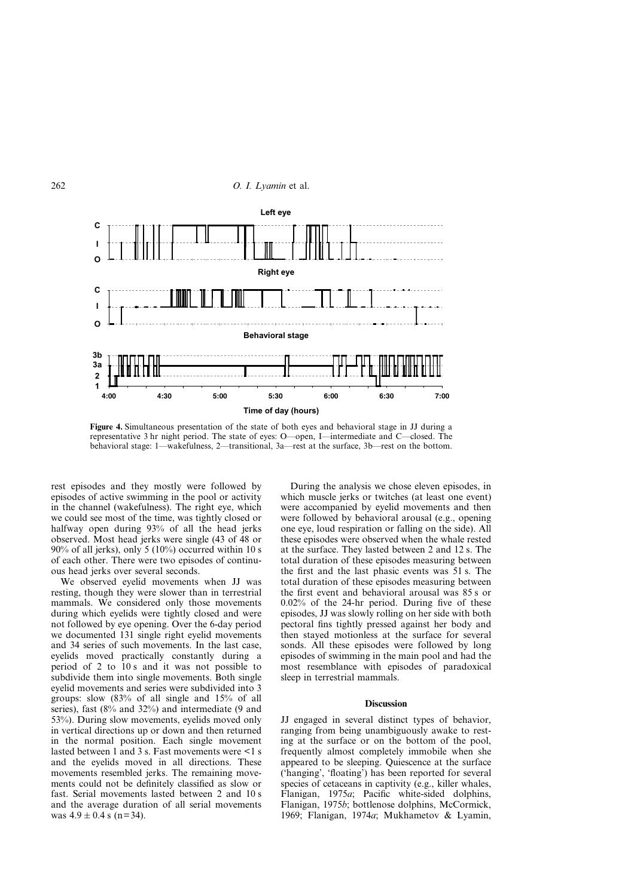

**Figure 4.** Simultaneous presentation of the state of both eyes and behavioral stage in JJ during a representative 3 hr night period. The state of eyes: O—open, I—intermediate and C—closed. The behavioral stage: 1—wakefulness, 2—transitional, 3a—rest at the surface, 3b—rest on the bottom.

rest episodes and they mostly were followed by episodes of active swimming in the pool or activity in the channel (wakefulness). The right eye, which we could see most of the time, was tightly closed or halfway open during 93% of all the head jerks observed. Most head jerks were single (43 of 48 or 90% of all jerks), only 5 (10%) occurred within 10 s of each other. There were two episodes of continuous head jerks over several seconds.

We observed eyelid movements when JJ was resting, though they were slower than in terrestrial mammals. We considered only those movements during which eyelids were tightly closed and were not followed by eye opening. Over the 6-day period we documented 131 single right eyelid movements and 34 series of such movements. In the last case, eyelids moved practically constantly during a period of 2 to 10 s and it was not possible to subdivide them into single movements. Both single eyelid movements and series were subdivided into 3 groups: slow (83% of all single and 15% of all series), fast (8% and 32%) and intermediate (9 and 53%). During slow movements, eyelids moved only in vertical directions up or down and then returned in the normal position. Each single movement lasted between 1 and 3 s. Fast movements were <1 s and the eyelids moved in all directions. These movements resembled jerks. The remaining movements could not be definitely classified as slow or fast. Serial movements lasted between 2 and 10 s and the average duration of all serial movements was  $4.9 \pm 0.4$  s (n=34).

During the analysis we chose eleven episodes, in which muscle jerks or twitches (at least one event) were accompanied by eyelid movements and then were followed by behavioral arousal (e.g., opening one eye, loud respiration or falling on the side). All these episodes were observed when the whale rested at the surface. They lasted between 2 and 12 s. The total duration of these episodes measuring between the first and the last phasic events was 51 s. The total duration of these episodes measuring between the first event and behavioral arousal was 85 s or 0.02% of the 24-hr period. During five of these episodes, JJ was slowly rolling on her side with both pectoral fins tightly pressed against her body and then stayed motionless at the surface for several sonds. All these episodes were followed by long episodes of swimming in the main pool and had the most resemblance with episodes of paradoxical sleep in terrestrial mammals.

### **Discussion**

JJ engaged in several distinct types of behavior, ranging from being unambiguously awake to resting at the surface or on the bottom of the pool, frequently almost completely immobile when she appeared to be sleeping. Quiescence at the surface ('hanging', 'floating') has been reported for several species of cetaceans in captivity (e.g., killer whales, Flanigan, 1975*a*; Pacific white-sided dolphins, Flanigan, 1975*b*; bottlenose dolphins, McCormick, 1969; Flanigan, 1974*a*; Mukhametov & Lyamin,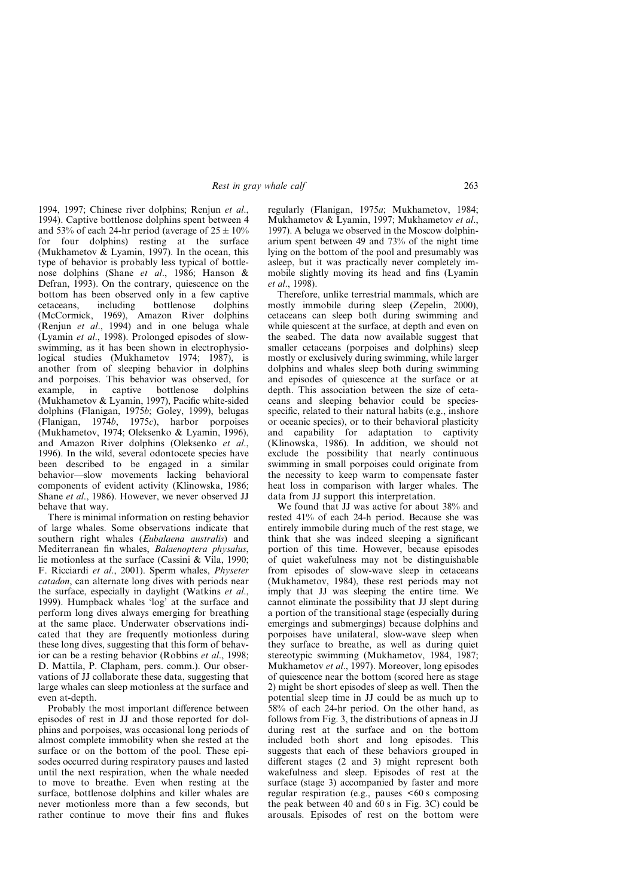1994, 1997; Chinese river dolphins; Renjun *et al*., 1994). Captive bottlenose dolphins spent between 4 and 53% of each 24-hr period (average of  $25 \pm 10\%$ for four dolphins) resting at the surface (Mukhametov & Lyamin, 1997). In the ocean, this type of behavior is probably less typical of bottlenose dolphins (Shane *et al*., 1986; Hanson & Defran, 1993). On the contrary, quiescence on the bottom has been observed only in a few captive cetaceans, including bottlenose dolphins (McCormick, 1969), Amazon River dolphins (Renjun *et al*., 1994) and in one beluga whale (Lyamin *et al*., 1998). Prolonged episodes of slowswimming, as it has been shown in electrophysiological studies (Mukhametov 1974; 1987), is another from of sleeping behavior in dolphins and porpoises. This behavior was observed, for example, in captive bottlenose dolphins (Mukhametov & Lyamin, 1997), Pacific white-sided dolphins (Flanigan, 1975*b*; Goley, 1999), belugas (Flanigan, 1974*b*, 1975*c*), harbor porpoises (Mukhametov, 1974; Oleksenko & Lyamin, 1996), and Amazon River dolphins (Oleksenko *et al*., 1996). In the wild, several odontocete species have been described to be engaged in a similar behavior—slow movements lacking behavioral components of evident activity (Klinowska, 1986; Shane *et al*., 1986). However, we never observed JJ behave that way.

There is minimal information on resting behavior of large whales. Some observations indicate that southern right whales (*Eubalaena australis*) and Mediterranean fin whales, *Balaenoptera physalus*, lie motionless at the surface (Cassini & Vila, 1990; F. Ricciardi *et al*., 2001). Sperm whales, *Physeter catadon*, can alternate long dives with periods near the surface, especially in daylight (Watkins *et al*., 1999). Humpback whales 'log' at the surface and perform long dives always emerging for breathing at the same place. Underwater observations indicated that they are frequently motionless during these long dives, suggesting that this form of behavior can be a resting behavior (Robbins *et al*., 1998; D. Mattila, P. Clapham, pers. comm.). Our observations of JJ collaborate these data, suggesting that large whales can sleep motionless at the surface and even at-depth.

Probably the most important difference between episodes of rest in JJ and those reported for dolphins and porpoises, was occasional long periods of almost complete immobility when she rested at the surface or on the bottom of the pool. These episodes occurred during respiratory pauses and lasted until the next respiration, when the whale needed to move to breathe. Even when resting at the surface, bottlenose dolphins and killer whales are never motionless more than a few seconds, but rather continue to move their fins and flukes

regularly (Flanigan, 1975*a*; Mukhametov, 1984; Mukhametov & Lyamin, 1997; Mukhametov *et al*., 1997). A beluga we observed in the Moscow dolphinarium spent between 49 and 73% of the night time lying on the bottom of the pool and presumably was asleep, but it was practically never completely immobile slightly moving its head and fins (Lyamin *et al*., 1998).

Therefore, unlike terrestrial mammals, which are mostly immobile during sleep (Zepelin, 2000), cetaceans can sleep both during swimming and while quiescent at the surface, at depth and even on the seabed. The data now available suggest that smaller cetaceans (porpoises and dolphins) sleep mostly or exclusively during swimming, while larger dolphins and whales sleep both during swimming and episodes of quiescence at the surface or at depth. This association between the size of cetaceans and sleeping behavior could be speciesspecific, related to their natural habits (e.g., inshore or oceanic species), or to their behavioral plasticity and capability for adaptation to captivity (Klinowska, 1986). In addition, we should not exclude the possibility that nearly continuous swimming in small porpoises could originate from the necessity to keep warm to compensate faster heat loss in comparison with larger whales. The data from JJ support this interpretation.

We found that JJ was active for about 38% and rested 41% of each 24-h period. Because she was entirely immobile during much of the rest stage, we think that she was indeed sleeping a significant portion of this time. However, because episodes of quiet wakefulness may not be distinguishable from episodes of slow-wave sleep in cetaceans (Mukhametov, 1984), these rest periods may not imply that JJ was sleeping the entire time. We cannot eliminate the possibility that JJ slept during a portion of the transitional stage (especially during emergings and submergings) because dolphins and porpoises have unilateral, slow-wave sleep when they surface to breathe, as well as during quiet stereotypic swimming (Mukhametov, 1984, 1987; Mukhametov *et al*., 1997). Moreover, long episodes of quiescence near the bottom (scored here as stage 2) might be short episodes of sleep as well. Then the potential sleep time in JJ could be as much up to 58% of each 24-hr period. On the other hand, as follows from Fig. 3, the distributions of apneas in JJ during rest at the surface and on the bottom included both short and long episodes. This suggests that each of these behaviors grouped in different stages (2 and 3) might represent both wakefulness and sleep. Episodes of rest at the surface (stage 3) accompanied by faster and more regular respiration (e.g., pauses <60 s composing the peak between 40 and 60 s in Fig. 3C) could be arousals. Episodes of rest on the bottom were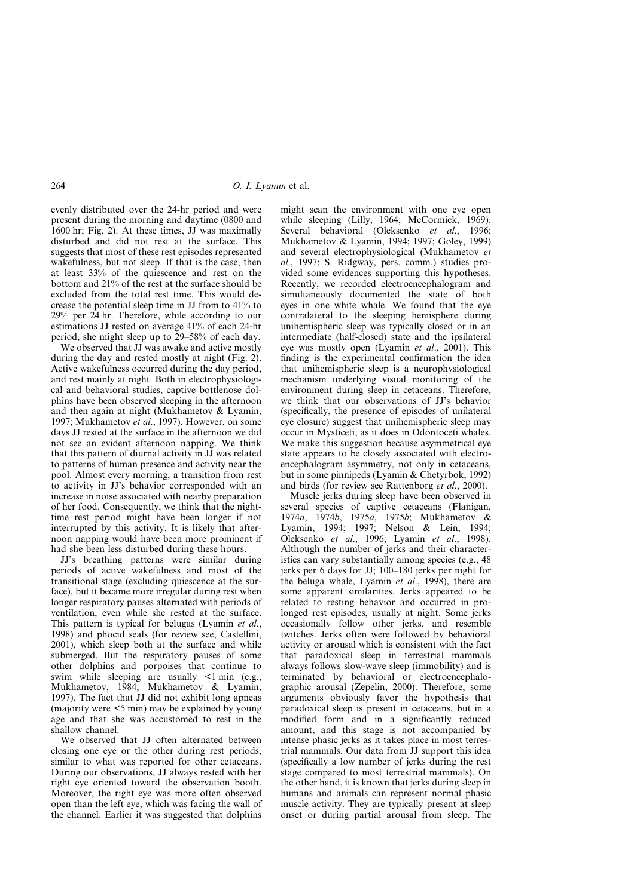evenly distributed over the 24-hr period and were present during the morning and daytime (0800 and 1600 hr; Fig. 2). At these times, JJ was maximally disturbed and did not rest at the surface. This suggests that most of these rest episodes represented wakefulness, but not sleep. If that is the case, then at least 33% of the quiescence and rest on the bottom and 21% of the rest at the surface should be excluded from the total rest time. This would decrease the potential sleep time in JJ from to 41% to 29% per 24 hr. Therefore, while according to our estimations JJ rested on average 41% of each 24-hr period, she might sleep up to 29–58% of each day.

We observed that JJ was awake and active mostly during the day and rested mostly at night (Fig. 2). Active wakefulness occurred during the day period, and rest mainly at night. Both in electrophysiological and behavioral studies, captive bottlenose dolphins have been observed sleeping in the afternoon and then again at night (Mukhametov & Lyamin, 1997; Mukhametov *et al*., 1997). However, on some days JJ rested at the surface in the afternoon we did not see an evident afternoon napping. We think that this pattern of diurnal activity in JJ was related to patterns of human presence and activity near the pool. Almost every morning, a transition from rest to activity in JJ's behavior corresponded with an increase in noise associated with nearby preparation of her food. Consequently, we think that the nighttime rest period might have been longer if not interrupted by this activity. It is likely that afternoon napping would have been more prominent if had she been less disturbed during these hours.

JJ's breathing patterns were similar during periods of active wakefulness and most of the transitional stage (excluding quiescence at the surface), but it became more irregular during rest when longer respiratory pauses alternated with periods of ventilation, even while she rested at the surface. This pattern is typical for belugas (Lyamin *et al*., 1998) and phocid seals (for review see, Castellini, 2001), which sleep both at the surface and while submerged. But the respiratory pauses of some other dolphins and porpoises that continue to swim while sleeping are usually <1 min (e.g., Mukhametov, 1984; Mukhametov & Lyamin, 1997). The fact that JJ did not exhibit long apneas (majority were <5 min) may be explained by young age and that she was accustomed to rest in the shallow channel.

We observed that JJ often alternated between closing one eye or the other during rest periods, similar to what was reported for other cetaceans. During our observations, JJ always rested with her right eye oriented toward the observation booth. Moreover, the right eye was more often observed open than the left eye, which was facing the wall of the channel. Earlier it was suggested that dolphins

might scan the environment with one eye open while sleeping (Lilly, 1964; McCormick, 1969). Several behavioral (Oleksenko *et al*., 1996; Mukhametov & Lyamin, 1994; 1997; Goley, 1999) and several electrophysiological (Mukhametov *et al*., 1997; S. Ridgway, pers. comm.) studies provided some evidences supporting this hypotheses. Recently, we recorded electroencephalogram and simultaneously documented the state of both eyes in one white whale. We found that the eye contralateral to the sleeping hemisphere during unihemispheric sleep was typically closed or in an intermediate (half-closed) state and the ipsilateral eye was mostly open (Lyamin *et al*., 2001). This finding is the experimental confirmation the idea that unihemispheric sleep is a neurophysiological mechanism underlying visual monitoring of the environment during sleep in cetaceans. Therefore, we think that our observations of JJ's behavior (specifically, the presence of episodes of unilateral eye closure) suggest that unihemispheric sleep may occur in Mysticeti, as it does in Odontoceti whales. We make this suggestion because asymmetrical eye state appears to be closely associated with electroencephalogram asymmetry, not only in cetaceans, but in some pinnipeds (Lyamin & Chetyrbok, 1992) and birds (for review see Rattenborg *et al*., 2000).

Muscle jerks during sleep have been observed in several species of captive cetaceans (Flanigan, 1974*a*, 1974*b*, 1975*a*, 1975*b*; Mukhametov & Lyamin, 1994; 1997; Nelson & Lein, 1994; Oleksenko *et al*., 1996; Lyamin *et al*., 1998). Although the number of jerks and their characteristics can vary substantially among species (e.g., 48 jerks per 6 days for JJ; 100–180 jerks per night for the beluga whale, Lyamin *et al*., 1998), there are some apparent similarities. Jerks appeared to be related to resting behavior and occurred in prolonged rest episodes, usually at night. Some jerks occasionally follow other jerks, and resemble twitches. Jerks often were followed by behavioral activity or arousal which is consistent with the fact that paradoxical sleep in terrestrial mammals always follows slow-wave sleep (immobility) and is terminated by behavioral or electroencephalographic arousal (Zepelin, 2000). Therefore, some arguments obviously favor the hypothesis that paradoxical sleep is present in cetaceans, but in a modified form and in a significantly reduced amount, and this stage is not accompanied by intense phasic jerks as it takes place in most terrestrial mammals. Our data from JJ support this idea (specifically a low number of jerks during the rest stage compared to most terrestrial mammals). On the other hand, it is known that jerks during sleep in humans and animals can represent normal phasic muscle activity. They are typically present at sleep onset or during partial arousal from sleep. The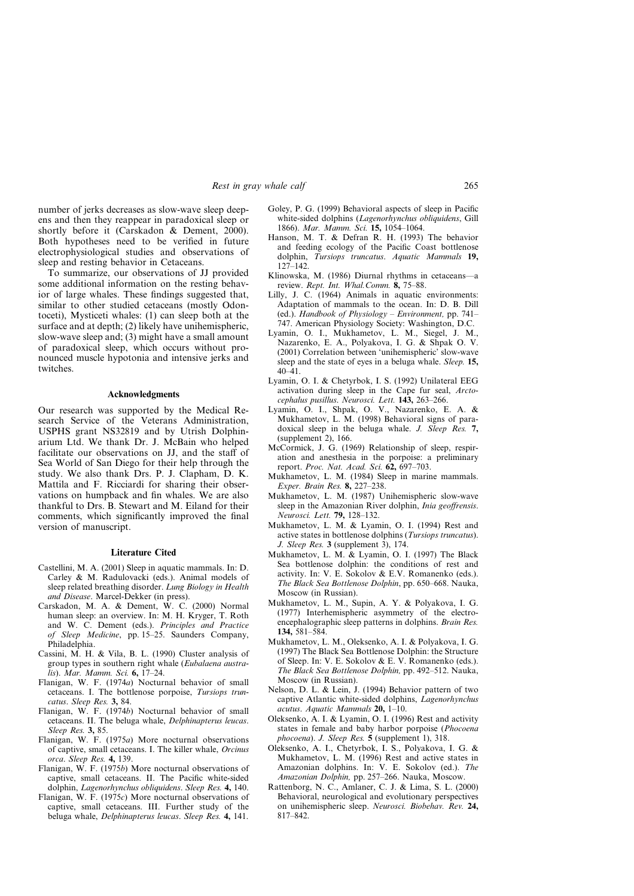number of jerks decreases as slow-wave sleep deepens and then they reappear in paradoxical sleep or shortly before it (Carskadon & Dement, 2000). Both hypotheses need to be verified in future electrophysiological studies and observations of sleep and resting behavior in Cetaceans.

To summarize, our observations of JJ provided some additional information on the resting behavior of large whales. These findings suggested that, similar to other studied cetaceans (mostly Odontoceti), Mysticeti whales: (1) can sleep both at the surface and at depth; (2) likely have unihemispheric, slow-wave sleep and; (3) might have a small amount of paradoxical sleep, which occurs without pronounced muscle hypotonia and intensive jerks and twitches.

### **Acknowledgments**

Our research was supported by the Medical Research Service of the Veterans Administration, USPHS grant NS32819 and by Utrish Dolphinarium Ltd. We thank Dr. J. McBain who helped facilitate our observations on JJ, and the staff of Sea World of San Diego for their help through the study. We also thank Drs. P. J. Clapham, D. K. Mattila and F. Ricciardi for sharing their observations on humpback and fin whales. We are also thankful to Drs. B. Stewart and M. Eiland for their comments, which significantly improved the final version of manuscript.

#### **Literature Cited**

- Castellini, M. A. (2001) Sleep in aquatic mammals. In: D. Carley & M. Radulovacki (eds.). Animal models of sleep related breathing disorder. *Lung Biology in Health and Disease*. Marcel-Dekker (in press).
- Carskadon, M. A. & Dement, W. C. (2000) Normal human sleep: an overview. In: M. H. Kryger, T. Roth and W. C. Dement (eds.). *Principles and Practice of Sleep Medicine*, pp. 15–25. Saunders Company, Philadelphia.
- Cassini, M. H. & Vila, B. L. (1990) Cluster analysis of group types in southern right whale (*Eubalaena australis*). *Mar. Mamm. Sci.* **6,** 17–24.
- Flanigan, W. F. (1974*a*) Nocturnal behavior of small cetaceans. I. The bottlenose porpoise, *Tursiops truncatus*. *Sleep Res.* **3,** 84.
- Flanigan, W. F. (1974*b*) Nocturnal behavior of small cetaceans. II. The beluga whale, *Delphinapterus leucas*. *Sleep Res.* **3,** 85.
- Flanigan, W. F. (1975*a*) More nocturnal observations of captive, small cetaceans. I. The killer whale, *Orcinus orca*. *Sleep Res.* **4,** 139.
- Flanigan, W. F. (1975*b*) More nocturnal observations of captive, small cetaceans. II. The Pacific white-sided dolphin, *Lagenorhynchus obliquidens*. *Sleep Res.* **4,** 140.
- Flanigan, W. F. (1975*c*) More nocturnal observations of captive, small cetaceans. III. Further study of the beluga whale, *Delphinapterus leucas*. *Sleep Res.* **4,** 141.
- Goley, P. G. (1999) Behavioral aspects of sleep in Pacific white-sided dolphins (*Lagenorhynchus obliquidens*, Gill 1866). *Mar. Mamm. Sci.* **15,** 1054–1064.
- Hanson, M. T. & Defran R. H. (1993) The behavior and feeding ecology of the Pacific Coast bottlenose dolphin, *Tursiops truncatus*. *Aquatic Mammals* **19,**  $127 - 142$
- Klinowska, M. (1986) Diurnal rhythms in cetaceans—a review. *Rept. Int. Whal.Comm.* **8,** 75–88.
- Lilly, J. C. (1964) Animals in aquatic environments: Adaptation of mammals to the ocean. In: D. B. Dill (ed.). *Handbook of Physiology – Environment,* pp. 741– 747. American Physiology Society: Washington, D.C.
- Lyamin, O. I., Mukhametov, L. M., Siegel, J. M., Nazarenko, E. A., Polyakova, I. G. & Shpak O. V. (2001) Correlation between 'unihemispheric' slow-wave sleep and the state of eyes in a beluga whale. *Sleep.* **15,**  $40 - 41$
- Lyamin, O. I. & Chetyrbok, I. S. (1992) Unilateral EEG activation during sleep in the Cape fur seal, *Arctocephalus pusillus*. *Neurosci. Lett.* **143,** 263–266.
- Lyamin, O. I., Shpak, O. V., Nazarenko, E. A. & Mukhametov, L. M. (1998) Behavioral signs of paradoxical sleep in the beluga whale. *J. Sleep Res.* **7,**  $(supplement 2)$ , 166.
- McCormick, J. G. (1969) Relationship of sleep, respiration and anesthesia in the porpoise: a preliminary report. *Proc. Nat. Acad. Sci.* **62,** 697–703.
- Mukhametov, L. M. (1984) Sleep in marine mammals. *Exper. Brain Res.* **8,** 227–238.
- Mukhametov, L. M. (1987) Unihemispheric slow-wave sleep in the Amazonian River dolphin, *Inia geoffrensis*. *Neurosci. Lett.* **79,** 128–132.
- Mukhametov, L. M. & Lyamin, O. I. (1994) Rest and active states in bottlenose dolphins (*Tursiops truncatus*). *J. Sleep Res.* **3** (supplement 3), 174.
- Mukhametov, L. M. & Lyamin, O. I. (1997) The Black Sea bottlenose dolphin: the conditions of rest and activity. In: V. E. Sokolov & E.V. Romanenko (eds.). *The Black Sea Bottlenose Dolphin*, pp. 650–668. Nauka, Moscow (in Russian).
- Mukhametov, L. M., Supin, A. Y. & Polyakova, I. G. (1977) Interhemispheric asymmetry of the electroencephalographic sleep patterns in dolphins. *Brain Res.* **134,** 581–584.
- Mukhametov, L. M., Oleksenko, A. I. & Polyakova, I. G. (1997) The Black Sea Bottlenose Dolphin: the Structure of Sleep. In: V. E. Sokolov & E. V. Romanenko (eds.). *The Black Sea Bottlenose Dolphin,* pp. 492–512. Nauka, Moscow (in Russian).
- Nelson, D. L. & Lein, J. (1994) Behavior pattern of two captive Atlantic white-sided dolphins, *Lagenorhynchus acutus*. *Aquatic Mammals* **20,** 1–10.
- Oleksenko, A. I. & Lyamin, O. I. (1996) Rest and activity states in female and baby harbor porpoise (*Phocoena phocoena*). *J. Sleep Res.* **5** (supplement 1), 318.
- Oleksenko, A. I., Chetyrbok, I. S., Polyakova, I. G. & Mukhametov, L. M. (1996) Rest and active states in Amazonian dolphins. In: V. E. Sokolov (ed.). *The Amazonian Dolphin,* pp. 257–266. Nauka, Moscow.
- Rattenborg, N. C., Amlaner, C. J. & Lima, S. L. (2000) Behavioral, neurological and evolutionary perspectives on unihemispheric sleep. *Neurosci. Biobehav. Rev.* **24,** 817–842.